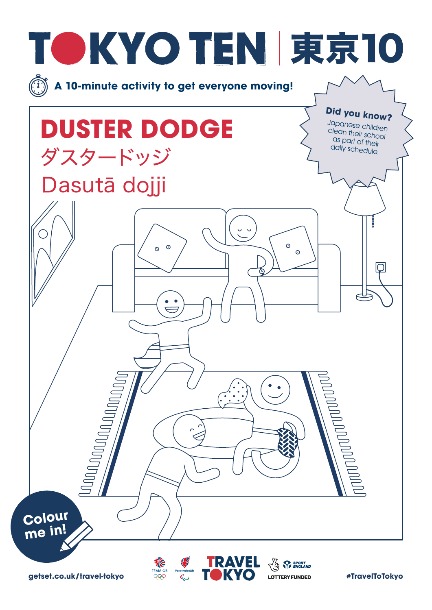